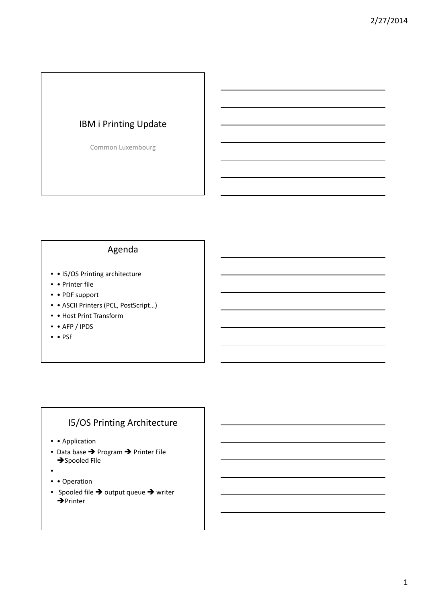# IBM i Printing Update

Common Luxembourg

# Agenda

- • I5/OS Printing architecture
- • Printer file
- • PDF support
- • ASCII Printers (PCL, PostScript...)
- • Host Print Transform
- • AFP / IPDS
- • PSF

# I5/OS Printing Architecture

- • Application
- Data base  $\rightarrow$  Program  $\rightarrow$  Printer File  $\rightarrow$ Spooled File
- •
- • Operation
- Spooled file  $\rightarrow$  output queue  $\rightarrow$  writer  $\rightarrow$ Printer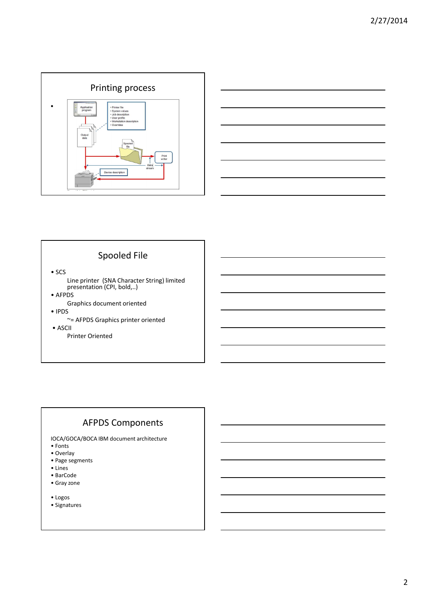



## Spooled File

• SCS

- Line printer (SNA Character String) limited presentation (CPI, bold,..)
- AFPDS
	- Graphics document oriented
- IPDS
	- ~= AFPDS Graphics printer oriented
- ASCII
	- Printer Oriented

# AFPDS Components

IOCA/GOCA/BOCA IBM document architecture

- Fonts
- Overlay
- Page segments
- Lines
- BarCode • Gray zone
- Logos
- Signatures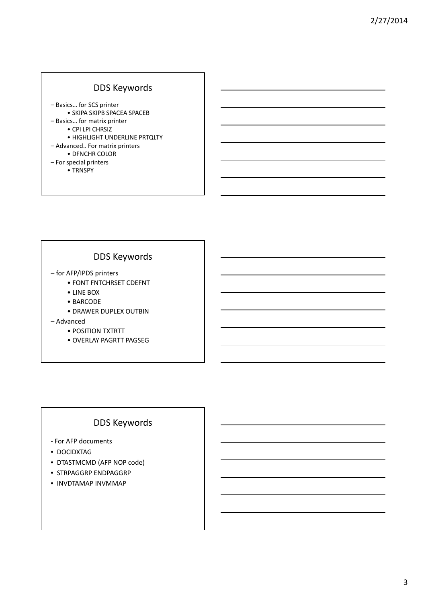## DDS Keywords

– Basics… for SCS printer • SKIPA SKIPB SPACEA SPACEB – Basics… for matrix printer • CPI LPI CHRSIZ • HIGHLIGHT UNDERLINE PRTQLTY – Advanced.. For matrix printers • DFNCHR COLOR – For special printers • TRNSPY

## DDS Keywords

- for AFP/IPDS printers
	- FONT FNTCHRSET CDEFNT
	- LINE BOX
	- BARCODE
	- DRAWER DUPLEX OUTBIN
- Advanced
	- POSITION TXTRTT
	- OVERLAY PAGRTT PAGSEG

# DDS Keywords

- For AFP documents
- DOCIDXTAG
- DTASTMCMD (AFP NOP code)
- STRPAGGRP ENDPAGGRP
- INVDTAMAP INVMMAP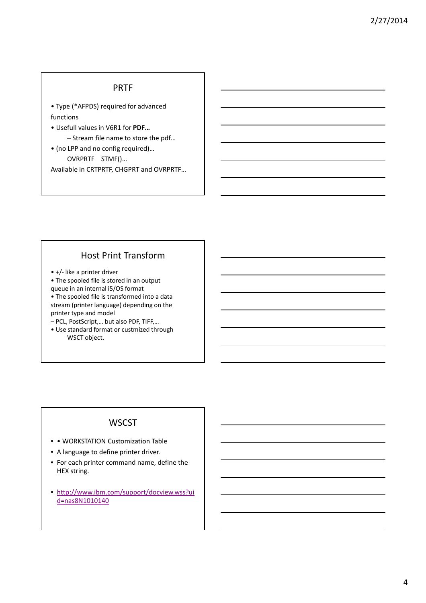#### PRTF

- Type (\*AFPDS) required for advanced functions
- Usefull values in V6R1 for **PDF…**
	- Stream file name to store the pdf…
- (no LPP and no config required)… OVRPRTF STMF()… Available in CRTPRTF, CHGPRT and OVRPRTF…

### Host Print Transform

- +/- like a printer driver
- The spooled file is stored in an output queue in an internal i5/OS format
- The spooled file is transformed into a data stream (printer language) depending on the printer type and model
- PCL, PostScript,… but also PDF, TIFF,…
- Use standard format or custmized through WSCT object.

### **WSCST**

- • WORKSTATION Customization Table
- A language to define printer driver.
- For each printer command name, define the HEX string.
- http://www.ibm.com/support/docview.wss?ui d=nas8N1010140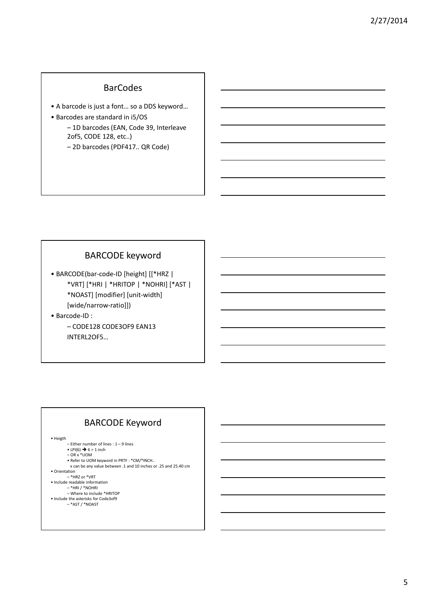5

### **BarCodes**

- A barcode is just a font… so a DDS keyword…
- Barcodes are standard in i5/OS
	- 1D barcodes (EAN, Code 39, Interleave 2of5, CODE 128, etc..)
	- 2D barcodes (PDF417.. QR Code)

### BARCODE keyword

• BARCODE(bar-code-ID [height] [[\*HRZ | \*VRT] [\*HRI | \*HRITOP | \*NOHRI] [\*AST | \*NOAST] [modifier] [unit-width] [wide/narrow-ratio]])

• Barcode-ID : – CODE128 CODE3OF9 EAN13 INTERL2OF5…

# BARCODE Keyword

• Heigth

- Either number of lines : 1 9 lines
- LPI(6)  $\rightarrow$  6 = 1 inch<br>- OR x \*UOM
- 
- Refer to UOM keyword in PRTF : \*CM/\*INCH.. x can be any value between .1 and 10 inches or .25 and 25.40 cm
- 
- Orientation \*HRZ or \*VRT
- Include readable information – \*HRI / \*NOHRI
- Where to include \*HRITOP Include the asterisks for Code3of9
	- \*AST / \*NOAST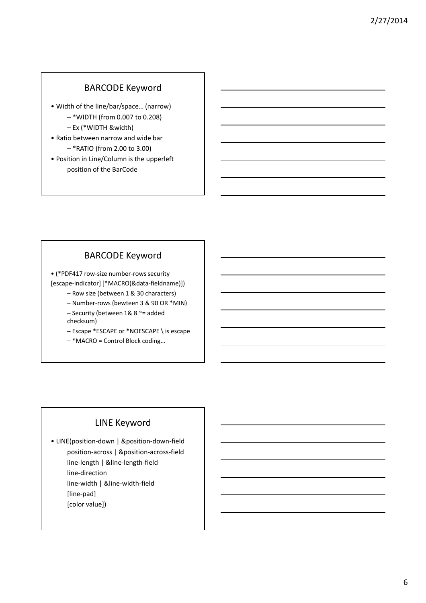### BARCODE Keyword

- Width of the line/bar/space… (narrow) – \*WIDTH (from 0.007 to 0.208)
	- Ex (\*WIDTH &width)
- Ratio between narrow and wide bar – \*RATIO (from 2.00 to 3.00)
- Position in Line/Column is the upperleft position of the BarCode

### BARCODE Keyword

• (\*PDF417 row-size number-rows security [escape-indicator] [\*MACRO(&data-fieldname)])

- Row size (between 1 & 30 characters)
- Number-rows (bewteen 3 & 90 OR \*MIN)
- Security (between 1& 8 ~= added checksum)
- Escape \*ESCAPE or \*NOESCAPE \ is escape
- \*MACRO = Control Block coding…

### LINE Keyword

• LINE(position-down | &position-down-field position-across | &position-across-field line-length | &line-length-field line-direction line-width | &line-width-field [line-pad] [color value])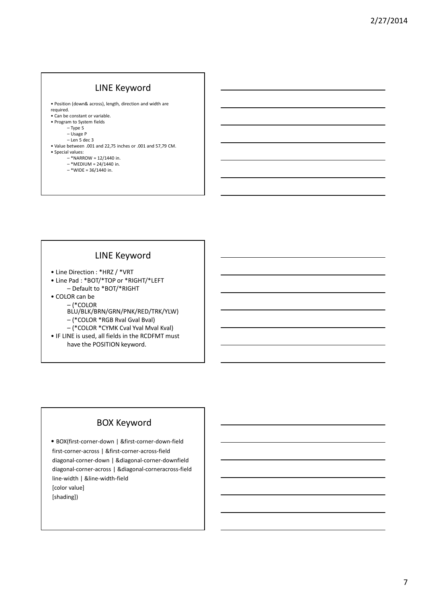# LINE Keyword

- Position (down& across), length, direction and width are required.
- Can be constant or variable.
- Program to System fields
	- Type S
	- Usage P
	- Len 5 dec 3
- Value between .001 and 22,75 inches or .001 and 57,79 CM.
- Special values:
	- \*NARROW = 12/1440 in.
	- \*MEDIUM = 24/1440 in.  $-$  \*WIDE = 36/1440 in.

# LINE Keyword

- Line Direction : \*HRZ / \*VRT
- Line Pad : \*BOT/\*TOP or \*RIGHT/\*LEFT – Default to \*BOT/\*RIGHT
- COLOR can be
	- (\*COLOR
		- BLU/BLK/BRN/GRN/PNK/RED/TRK/YLW)
		- (\*COLOR \*RGB Rval Gval Bval)
		- (\*COLOR \*CYMK Cval Yval Mval Kval)
- IF LINE is used, all fields in the RCDFMT must have the POSITION keyword.

# BOX Keyword

• BOX(first-corner-down | &first-corner-down-field first-corner-across | &first-corner-across-field diagonal-corner-down | &diagonal-corner-downfield diagonal-corner-across | &diagonal-corneracross-field line-width | &line-width-field [color value] [shading])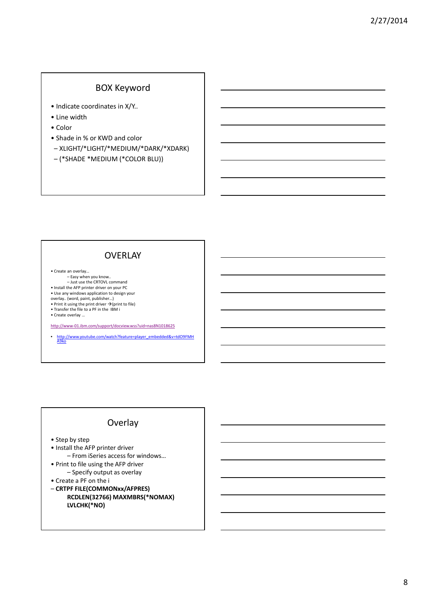#### BOX Keyword

- Indicate coordinates in X/Y..
- Line width
- Color
- Shade in % or KWD and color
- XLIGHT/\*LIGHT/\*MEDIUM/\*DARK/\*XDARK)
- (\*SHADE \*MEDIUM (\*COLOR BLU))

#### **OVERLAY**

• Create an overlay…

- Easy when you know.. Just use the CRTOVL command
- Install the AFP printer driver on your PC
- Use any windows application to design your
- overlay.. (word, paint, publisher...)<br>● Print it using the print driver →(print to file)<br>● Transfer the file to a PF in the IBM i
- 

• Create overlay …

http://www-01.ibm.com/support/docview.wss?uid=nas8N1018625

• http://www.youtube.com/watch?feature=player\_embedded&v=tdO9FMH A9ko

# **Overlay**

• Step by step

- Install the AFP printer driver
	- From iSeries access for windows…
- Print to file using the AFP driver – Specify output as overlay
- Create a PF on the i
- **CRTPF FILE(COMMONxx/AFPRES) RCDLEN(32766) MAXMBRS(\*NOMAX) LVLCHK(\*NO)**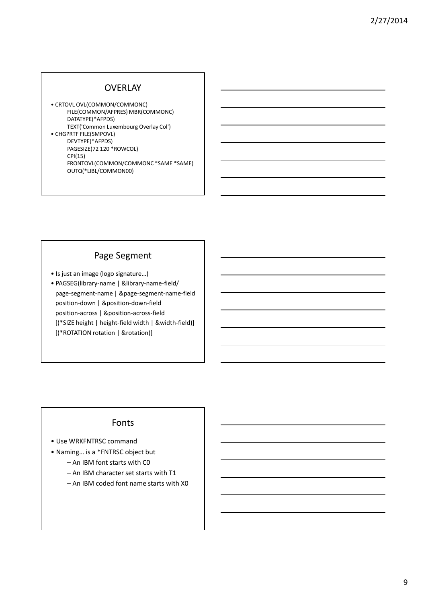#### **OVERLAY**

• CRTOVL OVL(COMMON/COMMONC) FILE(COMMON/AFPRES) MBR(COMMONC) DATATYPE(\*AFPDS) TEXT('Common Luxembourg Overlay Col') • CHGPRTF FILE(SMPOVL) DEVTYPE(\*AFPDS) PAGESIZE(72 120 \*ROWCOL) CPI(15) FRONTOVL(COMMON/COMMONC \*SAME \*SAME) OUTQ(\*LIBL/COMMON00)

### Page Segment

- Is just an image (logo signature…)
- PAGSEG(library-name | &library-name-field/ page-segment-name | &page-segment-name-field position-down | &position-down-field position-across | &position-across-field [(\*SIZE height | height-field width | &width-field)] [(\*ROTATION rotation | &rotation)]

#### Fonts

- Use WRKFNTRSC command
- Naming… is a \*FNTRSC object but
	- An IBM font starts with C0
	- An IBM character set starts with T1
	- An IBM coded font name starts with X0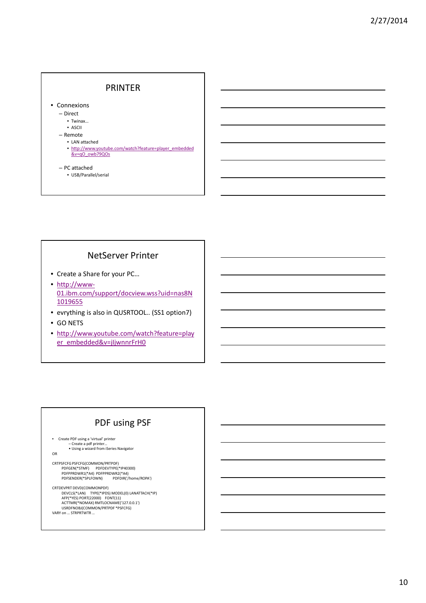

### NetServer Printer

- Create a Share for your PC…
- http://www-01.ibm.com/support/docview.wss?uid=nas8N 1019655
- evrything is also in QUSRTOOL.. (SS1 option7)
- GO NETS
- http://www.youtube.com/watch?feature=play er\_embedded&v=jIjwnnrFrH0

#### PDF using PSF

• Create PDF using a 'virtual' printer

```
– Create a pdf printer…
• Using a wizard from iSeries Navigator
```
OR

CRTPSFCFG PSFCFG(COMMON/PRTPDF) PDFGEN(\*STMF) PDFDEVTYPE(\*IP40300) PDFPPRDWR1(\*A4) PDFPPRDWR2(\*A4) PDFSENDER(\*SPLFOWN) PDFDIR('/home/ROPA')

CRTDEVPRT DEVD(COMMONPDF)<br>DEVCLS(\*LAN) TYPE(\*IPDS) MODEL(0) LANATTACH(\*IP)<br>AFP(\*YES) PORT(22000) FONT(11)<br>ACTTMR(\*NOMAX) RMTLOCNAME('127.0.0.1') USRDFNOBJ(COMMON/PRTPDF \*PSFCFG) VARY on … STRPRTWTR …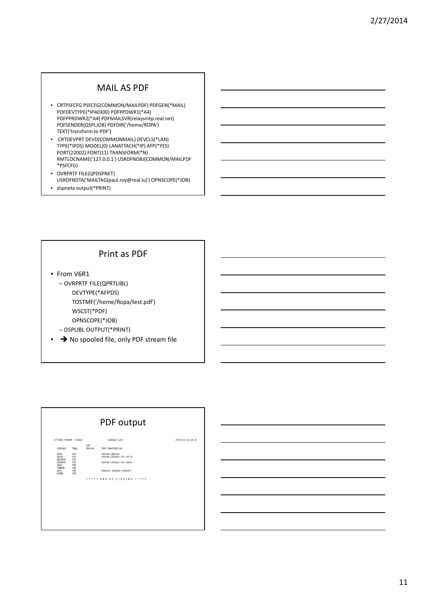### MAIL AS PDF

- CRTPSFCFG PSFCFG(COMMON/MAILPDF) PDFGEN(\*MAIL) PDFDEVTYPE(\*IP40300) PDFPPDWR1(\*A4) PDFPPRDWR2(\*A4) PDFMAILSVR(relaysmtp.real.net) PDFSENDER(QSPLJOB) PDFDIR('/home/ROPA') TEXT('transform to PDF')
- CRTDEVPRT DEVD(COMMONMAIL) DEVCLS(\*LAN) TYPE(\*IPDS) MODEL(0) LANATTACH(\*IP) AFP(\*YES) PORT(22002) FONT(11) TRANSFORM(\*N) RMTLOCNAME('127.0.0.1') USRDFNOBJ(COMMON/MAILPDF \*PSFCFG)
- OVRPRTF FILE(QPDSPNET) USRDFNDTA('MAILTAG(paul.roy@real.lu)') OPNSCOPE(\*JOB)
- dspneta output(\*PRINT)

### Print as PDF

- From V6R1 – OVRPRTF FILE(QPRTLIBL) DEVTYPE(\*AFPDS) TOSTMF('/home/Ropa/test.pdf')
	- WSCST(\*PDF)
	- OPNSCOPE(\*JOB)
	- DSPLIBL OUTPUT(\*PRINT)
- → No spooled file, only PDF stream file

| PDF output                                                                                                |                                                                           |               |                                                                                                   |                   |
|-----------------------------------------------------------------------------------------------------------|---------------------------------------------------------------------------|---------------|---------------------------------------------------------------------------------------------------|-------------------|
| 5770SS1 V7R1M0 100423                                                                                     |                                                                           |               | Library List                                                                                      | 27/02/14 11:26:01 |
| Library                                                                                                   | Type                                                                      | ASP<br>Device | Text Description                                                                                  |                   |
| OSYS<br>QSYS2<br><b>OHLPSYS</b><br><b>OUSRSYS</b><br><b>QPDA</b><br><b>COMMON</b><br>QGPL<br><b>OTEMP</b> | SYS<br>SYS<br>SYS<br>SYS<br>PRD<br><b>USR</b><br><b>USR</b><br><b>USR</b> |               | System Library<br>System Library for CPI's<br>System Library for Users<br>General Purpose Library |                   |
|                                                                                                           |                                                                           | .             | END OF LISTING *****                                                                              |                   |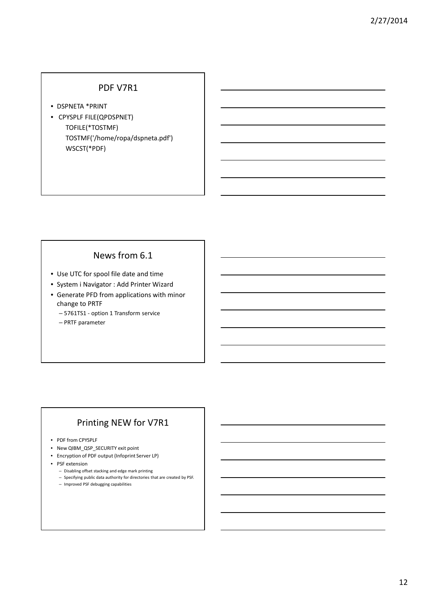#### PDF V7R1

- DSPNETA \*PRINT
- CPYSPLF FILE(QPDSPNET) TOFILE(\*TOSTMF) TOSTMF('/home/ropa/dspneta.pdf') WSCST(\*PDF)

# News from 6.1

- Use UTC for spool file date and time
- System i Navigator : Add Printer Wizard
- Generate PFD from applications with minor change to PRTF
	- 5761TS1 option 1 Transform service
	- PRTF parameter

# Printing NEW for V7R1

- PDF from CPYSPLF
- New QIBM\_QSP\_SECURITY exit point
- Encryption of PDF output (Infoprint Server LP)
- PSF extension
	- Disabling offset stacking and edge mark printing
	- Specifying public data authority for directories that are created by PSF.
	- Improved PSF debugging capabilities